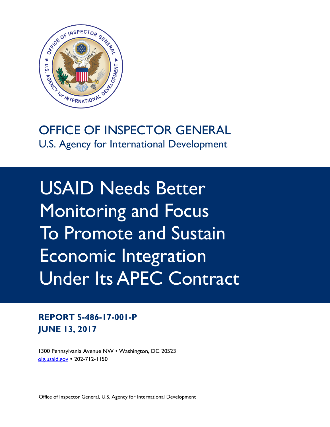

# OFFICE OF INSPECTOR GENERAL U.S. Agency for International Development

USAID Needs Better Monitoring and Focus To Promote and Sustain Economic Integration Under Its APEC Contract

**REPORT 5-486-17-001-P JUNE 13, 2017**

1300 Pennsylvania Avenue NW • Washington, DC 20523 [oig.usaid.gov](https://oig.usaid.gov/) 202-712-1150

Office of Inspector General, U.S. Agency for International Development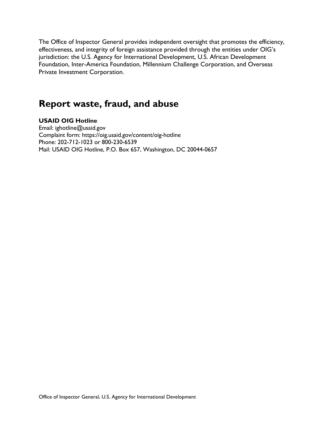The Office of Inspector General provides independent oversight that promotes the efficiency, effectiveness, and integrity of foreign assistance provided through the entities under OIG's jurisdiction: the U.S. Agency for International Development, U.S. African Development Foundation, Inter-America Foundation, Millennium Challenge Corporation, and Overseas Private Investment Corporation.

# **Report waste, fraud, and abuse**

#### **USAID OIG Hotline**

Email: ighotline@usaid.gov Complaint form: https://oig.usaid.gov/content/oig-hotline Phone: 202-712-1023 or 800-230-6539 Mail: USAID OIG Hotline, P.O. Box 657, Washington, DC 20044-0657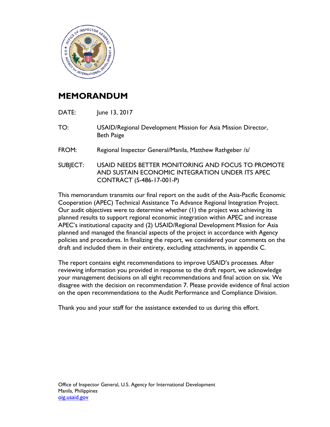

### **MEMORANDUM**

- DATE: June 13, 2017
- TO: USAID/Regional Development Mission for Asia Mission Director, Beth Paige
- FROM: Regional Inspector General/Manila, Matthew Rathgeber /s/
- SUBJECT: USAID NEEDS BETTER MONITORING AND FOCUS TO PROMOTE AND SUSTAIN ECONOMIC INTEGRATION UNDER ITS APEC CONTRACT (5-486-17-001-P)

This memorandum transmits our final report on the audit of the Asia-Pacific Economic Cooperation (APEC) Technical Assistance To Advance Regional Integration Project. Our audit objectives were to determine whether (1) the project was achieving its planned results to support regional economic integration within APEC and increase APEC's institutional capacity and (2) USAID/Regional Development Mission for Asia planned and managed the financial aspects of the project in accordance with Agency policies and procedures. In finalizing the report, we considered your comments on the draft and included them in their entirety, excluding attachments, in appendix C.

The report contains eight recommendations to improve USAID's processes. After reviewing information you provided in response to the draft report, we acknowledge your management decisions on all eight recommendations and final action on six. We disagree with the decision on recommendation 7. Please provide evidence of final action on the open recommendations to the Audit Performance and Compliance Division.

Thank you and your staff for the assistance extended to us during this effort.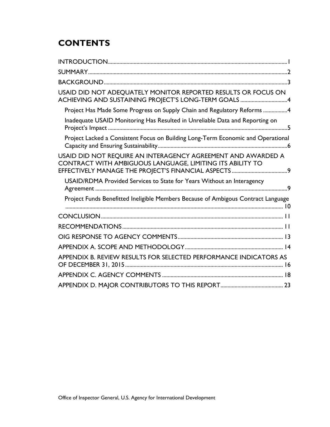# **CONTENTS**

| USAID DID NOT ADEQUATELY MONITOR REPORTED RESULTS OR FOCUS ON<br>ACHIEVING AND SUSTAINING PROJECT'S LONG-TERM GOALS 4     |
|---------------------------------------------------------------------------------------------------------------------------|
| Project Has Made Some Progress on Supply Chain and Regulatory Reforms 4                                                   |
| Inadequate USAID Monitoring Has Resulted in Unreliable Data and Reporting on                                              |
| Project Lacked a Consistent Focus on Building Long-Term Economic and Operational                                          |
| USAID DID NOT REQUIRE AN INTERAGENCY AGREEMENT AND AWARDED A<br>CONTRACT WITH AMBIGUOUS LANGUAGE, LIMITING ITS ABILITY TO |
| USAID/RDMA Provided Services to State for Years Without an Interagency                                                    |
| Project Funds Benefitted Ineligible Members Because of Ambigous Contract Language                                         |
|                                                                                                                           |
|                                                                                                                           |
|                                                                                                                           |
|                                                                                                                           |
| APPENDIX B. REVIEW RESULTS FOR SELECTED PERFORMANCE INDICATORS AS                                                         |
|                                                                                                                           |
|                                                                                                                           |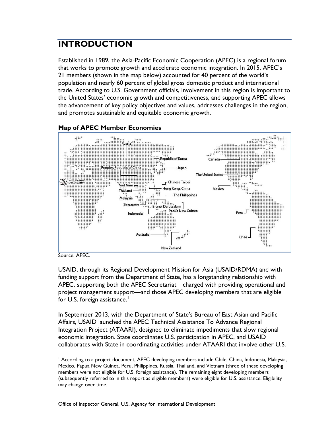## <span id="page-4-0"></span>**INTRODUCTION**

Established in 1989, the Asia-Pacific Economic Cooperation (APEC) is a regional forum that works to promote growth and accelerate economic integration. In 2015, APEC's 21 members (shown in the map below) accounted for 40 percent of the world's population and nearly 60 percent of global gross domestic product and international trade. According to U.S. Government officials, involvement in this region is important to the United States' economic growth and competitiveness, and supporting APEC allows the advancement of key policy objectives and values, addresses challenges in the region, and promotes sustainable and equitable economic growth.



**Map of APEC Member Economies**

Source: APEC.

USAID, through its Regional Development Mission for Asia (USAID/RDMA) and with funding support from the Department of State, has a longstanding relationship with APEC, supporting both the APEC Secretariat—charged with providing operational and project management support—and those APEC developing members that are eligible for U.S. foreign assistance.<sup>[1](#page-4-1)</sup>

In September 2013, with the Department of State's Bureau of East Asian and Pacific Affairs, USAID launched the APEC Technical Assistance To Advance Regional Integration Project (ATAARI), designed to eliminate impediments that slow regional economic integration. State coordinates U.S. participation in APEC, and USAID collaborates with State in coordinating activities under ATAARI that involve other U.S.

<span id="page-4-1"></span><sup>&</sup>lt;sup>1</sup> According to a project document, APEC developing members include Chile, China, Indonesia, Malaysia, Mexico, Papua New Guinea, Peru, Philippines, Russia, Thailand, and Vietnam (three of these developing members were not eligible for U.S. foreign assistance). The remaining eight developing members (subsequently referred to in this report as eligible members) were eligible for U.S. assistance. Eligibility may change over time.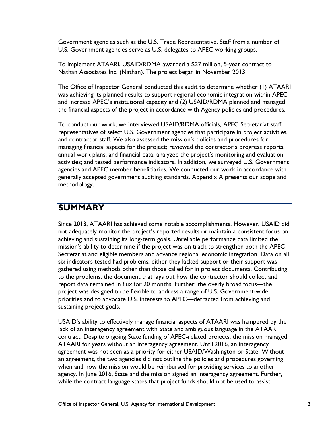Government agencies such as the U.S. Trade Representative. Staff from a number of U.S. Government agencies serve as U.S. delegates to APEC working groups.

To implement ATAARI, USAID/RDMA awarded a \$27 million, 5-year contract to Nathan Associates Inc. (Nathan). The project began in November 2013.

The Office of Inspector General conducted this audit to determine whether (1) ATAARI was achieving its planned results to support regional economic integration within APEC and increase APEC's institutional capacity and (2) USAID/RDMA planned and managed the financial aspects of the project in accordance with Agency policies and procedures.

To conduct our work, we interviewed USAID/RDMA officials, APEC Secretariat staff, representatives of select U.S. Government agencies that participate in project activities, and contractor staff. We also assessed the mission's policies and procedures for managing financial aspects for the project; reviewed the contractor's progress reports, annual work plans, and financial data; analyzed the project's monitoring and evaluation activities; and tested performance indicators. In addition, we surveyed U.S. Government agencies and APEC member beneficiaries. We conducted our work in accordance with generally accepted government auditing standards. Appendix A presents our scope and methodology.

### <span id="page-5-0"></span>**SUMMARY**

Since 2013, ATAARI has achieved some notable accomplishments. However, USAID did not adequately monitor the project's reported results or maintain a consistent focus on achieving and sustaining its long-term goals. Unreliable performance data limited the mission's ability to determine if the project was on track to strengthen both the APEC Secretariat and eligible members and advance regional economic integration. Data on all six indicators tested had problems: either they lacked support or their support was gathered using methods other than those called for in project documents. Contributing to the problems, the document that lays out how the contractor should collect and report data remained in flux for 20 months. Further, the overly broad focus—the project was designed to be flexible to address a range of U.S. Government-wide priorities and to advocate U.S. interests to APEC—detracted from achieving and sustaining project goals.

USAID's ability to effectively manage financial aspects of ATAARI was hampered by the lack of an interagency agreement with State and ambiguous language in the ATAARI contract. Despite ongoing State funding of APEC-related projects, the mission managed ATAARI for years without an interagency agreement. Until 2016, an interagency agreement was not seen as a priority for either USAID/Washington or State. Without an agreement, the two agencies did not outline the policies and procedures governing when and how the mission would be reimbursed for providing services to another agency. In June 2016, State and the mission signed an interagency agreement. Further, while the contract language states that project funds should not be used to assist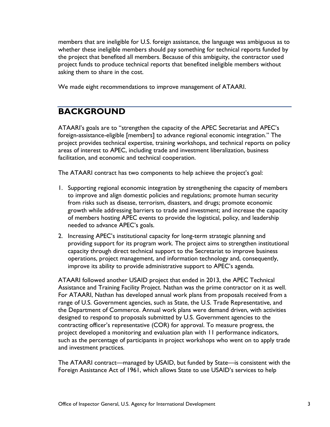members that are ineligible for U.S. foreign assistance, the language was ambiguous as to whether these ineligible members should pay something for technical reports funded by the project that benefited all members. Because of this ambiguity, the contractor used project funds to produce technical reports that benefited ineligible members without asking them to share in the cost.

We made eight recommendations to improve management of ATAARI.

#### <span id="page-6-0"></span>**BACKGROUND**

ATAARI's goals are to "strengthen the capacity of the APEC Secretariat and APEC's foreign-assistance-eligible [members] to advance regional economic integration." The project provides technical expertise, training workshops, and technical reports on policy areas of interest to APEC, including trade and investment liberalization, business facilitation, and economic and technical cooperation.

The ATAARI contract has two components to help achieve the project's goal:

- 1. Supporting regional economic integration by strengthening the capacity of members to improve and align domestic policies and regulations; promote human security from risks such as disease, terrorism, disasters, and drugs; promote economic growth while addressing barriers to trade and investment; and increase the capacity of members hosting APEC events to provide the logistical, policy, and leadership needed to advance APEC's goals.
- 2. Increasing APEC's institutional capacity for long-term strategic planning and providing support for its program work. The project aims to strengthen institutional capacity through direct technical support to the Secretariat to improve business operations, project management, and information technology and, consequently, improve its ability to provide administrative support to APEC's agenda.

ATAARI followed another USAID project that ended in 2013, the APEC Technical Assistance and Training Facility Project. Nathan was the prime contractor on it as well. For ATAARI, Nathan has developed annual work plans from proposals received from a range of U.S. Government agencies, such as State, the U.S. Trade Representative, and the Department of Commerce. Annual work plans were demand driven, with activities designed to respond to proposals submitted by U.S. Government agencies to the contracting officer's representative (COR) for approval. To measure progress, the project developed a monitoring and evaluation plan with 11 performance indicators, such as the percentage of participants in project workshops who went on to apply trade and investment practices.

The ATAARI contract—managed by USAID, but funded by State—is consistent with the Foreign Assistance Act of 1961, which allows State to use USAID's services to help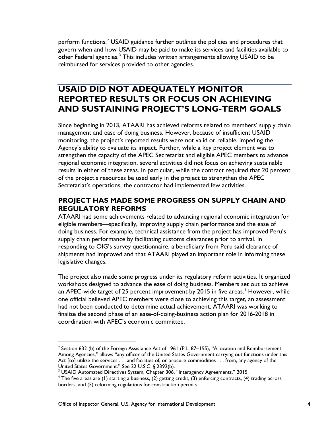perform functions.<sup>[2](#page-7-2)</sup> USAID guidance further outlines the policies and procedures that govern when and how USAID may be paid to make its services and facilities available to other Federal agencies.<sup>[3](#page-7-3)</sup> This includes written arrangements allowing USAID to be reimbursed for services provided to other agencies.

### <span id="page-7-0"></span>**USAID DID NOT ADEQUATELY MONITOR REPORTED RESULTS OR FOCUS ON ACHIEVING AND SUSTAINING PROJECT'S LONG-TERM GOALS**

Since beginning in 2013, ATAARI has achieved reforms related to members' supply chain management and ease of doing business. However, because of insufficient USAID monitoring, the project's reported results were not valid or reliable, impeding the Agency's ability to evaluate its impact. Further, while a key project element was to strengthen the capacity of the APEC Secretariat and eligible APEC members to advance regional economic integration, several activities did not focus on achieving sustainable results in either of these areas. In particular, while the contract required that 20 percent of the project's resources be used early in the project to strengthen the APEC Secretariat's operations, the contractor had implemented few activities.

#### <span id="page-7-1"></span>**PROJECT HAS MADE SOME PROGRESS ON SUPPLY CHAIN AND REGULATORY REFORMS**

ATAARI had some achievements related to advancing regional economic integration for eligible members—specifically, improving supply chain performance and the ease of doing business. For example, technical assistance from the project has improved Peru's supply chain performance by facilitating customs clearances prior to arrival. In responding to OIG's survey questionnaire, a beneficiary from Peru said clearance of shipments had improved and that ATAARI played an important role in informing these legislative changes.

The project also made some progress under its regulatory reform activities. It organized workshops designed to advance the ease of doing business. Members set out to achieve an APEC-wide target of 25 percent improvement by 2015 in five areas.<sup>[4](#page-7-4)</sup> However, while one official believed APEC members were close to achieving this target, an assessment had not been conducted to determine actual achievement. ATAARI was working to finalize the second phase of an ease-of-doing-business action plan for 2016-2018 in coordination with APEC's economic committee.

<span id="page-7-2"></span> $2$  Section 632 (b) of the Foreign Assistance Act of 1961 (P.L. 87–195), "Allocation and Reimbursement Among Agencies," allows "any officer of the United States Government carrying out functions under this Act [to] utilize the services . . . and facilities of, or procure commodities . . . from, any agency of the United States Government." See 22 U.S.C. § 2392(b).<br><sup>3</sup> USAID Automated Directives System, Chapter 306, "Interagency Agreements," 2015.

<span id="page-7-4"></span><span id="page-7-3"></span> $4$  The five areas are (1) starting a business, (2) getting credit, (3) enforcing contracts, (4) trading across borders, and (5) reforming regulations for construction permits.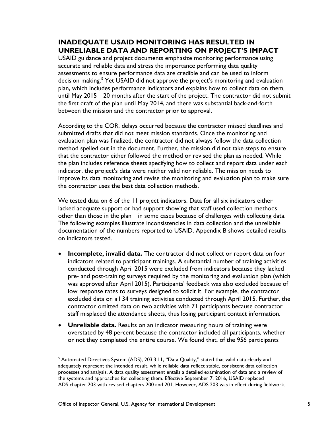#### <span id="page-8-0"></span>**INADEQUATE USAID MONITORING HAS RESULTED IN UNRELIABLE DATA AND REPORTING ON PROJECT'S IMPACT**

USAID guidance and project documents emphasize monitoring performance using accurate and reliable data and stress the importance performing data quality assessments to ensure performance data are credible and can be used to inform decision making.<sup>[5](#page-8-1)</sup> Yet USAID did not approve the project's monitoring and evaluation plan, which includes performance indicators and explains how to collect data on them, until May 2015—20 months after the start of the project. The contractor did not submit the first draft of the plan until May 2014, and there was substantial back-and-forth between the mission and the contractor prior to approval.

According to the COR, delays occurred because the contractor missed deadlines and submitted drafts that did not meet mission standards. Once the monitoring and evaluation plan was finalized, the contractor did not always follow the data collection method spelled out in the document. Further, the mission did not take steps to ensure that the contractor either followed the method or revised the plan as needed. While the plan includes reference sheets specifying how to collect and report data under each indicator, the project's data were neither valid nor reliable. The mission needs to improve its data monitoring and revise the monitoring and evaluation plan to make sure the contractor uses the best data collection methods.

We tested data on 6 of the 11 project indicators. Data for all six indicators either lacked adequate support or had support showing that staff used collection methods other than those in the plan—in some cases because of challenges with collecting data. The following examples illustrate inconsistencies in data collection and the unreliable documentation of the numbers reported to USAID. Appendix B shows detailed results on indicators tested.

- **Incomplete, invalid data.** The contractor did not collect or report data on four indicators related to participant trainings. A substantial number of training activities conducted through April 2015 were excluded from indicators because they lacked pre- and post-training surveys required by the monitoring and evaluation plan (which was approved after April 2015). Participants' feedback was also excluded because of low response rates to surveys designed to solicit it. For example, the contractor excluded data on all 34 training activities conducted through April 2015. Further, the contractor omitted data on two activities with 71 participants because contractor staff misplaced the attendance sheets, thus losing participant contact information.
- **Unreliable data.** Results on an indicator measuring hours of training were overstated by 48 percent because the contractor included all participants, whether or not they completed the entire course. We found that, of the 956 participants

<span id="page-8-1"></span> $5$  Automated Directives System (ADS), 203.3.11, "Data Quality," stated that valid data clearly and adequately represent the intended result, while reliable data reflect stable, consistent data collection processes and analysis. A data quality assessment entails a detailed examination of data and a review of the systems and approaches for collecting them. Effective September 7, 2016, USAID replaced ADS chapter 203 with revised chapters 200 and 201. However, ADS 203 was in effect during fieldwork.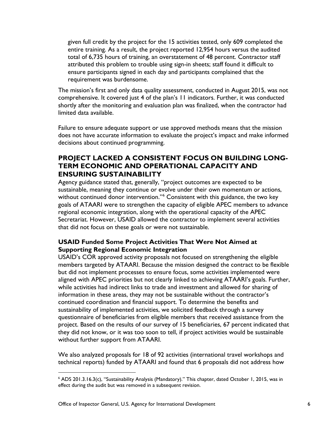given full credit by the project for the 15 activities tested, only 609 completed the entire training. As a result, the project reported 12,954 hours versus the audited total of 6,735 hours of training, an overstatement of 48 percent. Contractor staff attributed this problem to trouble using sign-in sheets; staff found it difficult to ensure participants signed in each day and participants complained that the requirement was burdensome.

The mission's first and only data quality assessment, conducted in August 2015, was not comprehensive. It covered just 4 of the plan's 11 indicators. Further, it was conducted shortly after the monitoring and evaluation plan was finalized, when the contractor had limited data available.

Failure to ensure adequate support or use approved methods means that the mission does not have accurate information to evaluate the project's impact and make informed decisions about continued programming.

#### <span id="page-9-0"></span>**PROJECT LACKED A CONSISTENT FOCUS ON BUILDING LONG-TERM ECONOMIC AND OPERATIONAL CAPACITY AND ENSURING SUSTAINABILITY**

Agency guidance stated that, generally, "project outcomes are expected to be sustainable, meaning they continue or evolve under their own momentum or actions, without continued donor intervention."<sup>[6](#page-9-1)</sup> Consistent with this guidance, the two key goals of ATAARI were to strengthen the capacity of eligible APEC members to advance regional economic integration, along with the operational capacity of the APEC Secretariat. However, USAID allowed the contractor to implement several activities that did not focus on these goals or were not sustainable.

#### **USAID Funded Some Project Activities That Were Not Aimed at Supporting Regional Economic Integration**

USAID's COR approved activity proposals not focused on strengthening the eligible members targeted by ATAARI. Because the mission designed the contract to be flexible but did not implement processes to ensure focus, some activities implemented were aligned with APEC priorities but not clearly linked to achieving ATAARI's goals. Further, while activities had indirect links to trade and investment and allowed for sharing of information in these areas, they may not be sustainable without the contractor's continued coordination and financial support. To determine the benefits and sustainability of implemented activities, we solicited feedback through a survey questionnaire of beneficiaries from eligible members that received assistance from the project. Based on the results of our survey of 15 beneficiaries, 67 percent indicated that they did not know, or it was too soon to tell, if project activities would be sustainable without further support from ATAARI.

We also analyzed proposals for 18 of 92 activities (international travel workshops and technical reports) funded by ATAARI and found that 6 proposals did not address how

<span id="page-9-1"></span> <sup>6</sup> ADS 201.3.16.3(c), "Sustainability Analysis (Mandatory)." This chapter, dated October 1, 2015, was in effect during the audit but was removed in a subsequent revision.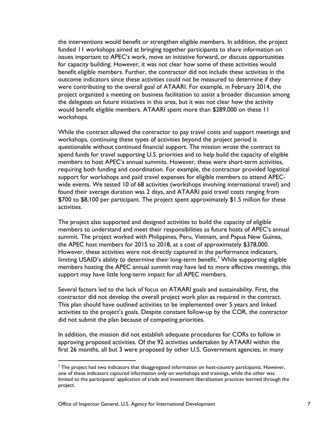the interventions would benefit or strengthen eligible members. In addition, the project funded 11 workshops aimed at bringing together participants to share information on issues important to APEC's work, move an initiative forward, or discuss opportunities for capacity building. However, it was not clear how some of these activities would benefit eligible members. Further, the contractor did not include these activities in the outcome indicators since these activities could not be measured to determine if they were contributing to the overall goal of ATAARI. For example, in February 2014, the project organized a meeting on business facilitation to assist a broader discussion among the delegates on future initiatives in this area, but it was not clear how the activity would benefit eligible members. ATAARI spent more than \$289,000 on these 11 workshops.

While the contract allowed the contractor to pay travel costs and support meetings and workshops, continuing these types of activities beyond the project period is questionable without continued financial support. The mission wrote the contract to spend funds for travel supporting U.S. priorities and to help build the capacity of eligible members to host APEC's annual summits. However, these were short-term activities, requiring both funding and coordination. For example, the contractor provided logistical support for workshops and paid travel expenses for eligible members to attend APECwide events. We tested 10 of 68 activities (workshops involving international travel) and found their average duration was 2 days, and ATAARI paid travel costs ranging from \$700 to \$8,100 per participant. The project spent approximately \$1.5 million for these activities.

The project also supported and designed activities to build the capacity of eligible members to understand and meet their responsibilities as future hosts of APEC's annual summit. The project worked with Philippines, Peru, Vietnam, and Papua New Guinea, the APEC host members for 2015 to 2018, at a cost of approximately \$378,000. However, these activities were not directly captured in the performance indicators, limiting USAID's ability to determine their long-term benefit.<sup>[7](#page-10-0)</sup> While supporting eligible members hosting the APEC annual summit may have led to more effective meetings, this support may have little long-term impact for all APEC members.

Several factors led to the lack of focus on ATAARI goals and sustainability. First, the contractor did not develop the overall project work plan as required in the contract. This plan should have outlined activities to be implemented over 5 years and linked activities to the project's goals. Despite constant follow-up by the COR, the contractor did not submit the plan because of competing priorities.

In addition, the mission did not establish adequate procedures for CORs to follow in approving proposed activities. Of the 92 activities undertaken by ATAARI within the first 26 months, all but 3 were proposed by other U.S. Government agencies, in many

<span id="page-10-0"></span> $<sup>7</sup>$  The project had two indicators that disaggregated information on host-country participants. However,</sup> one of these indicators captured information only on workshops and trainings, while the other was limited to the participants' application of trade and investment liberalization practices learned through the project.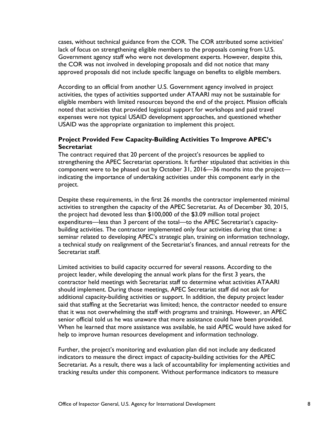cases, without technical guidance from the COR. The COR attributed some activities' lack of focus on strengthening eligible members to the proposals coming from U.S. Government agency staff who were not development experts. However, despite this, the COR was not involved in developing proposals and did not notice that many approved proposals did not include specific language on benefits to eligible members.

According to an official from another U.S. Government agency involved in project activities, the types of activities supported under ATAARI may not be sustainable for eligible members with limited resources beyond the end of the project. Mission officials noted that activities that provided logistical support for workshops and paid travel expenses were not typical USAID development approaches, and questioned whether USAID was the appropriate organization to implement this project.

#### **Project Provided Few Capacity-Building Activities To Improve APEC's Secretariat**

The contract required that 20 percent of the project's resources be applied to strengthening the APEC Secretariat operations. It further stipulated that activities in this component were to be phased out by October 31, 2016—36 months into the project indicating the importance of undertaking activities under this component early in the project.

Despite these requirements, in the first 26 months the contractor implemented minimal activities to strengthen the capacity of the APEC Secretariat. As of December 30, 2015, the project had devoted less than \$100,000 of the \$3.09 million total project expenditures—less than 3 percent of the total—to the APEC Secretariat's capacitybuilding activities. The contractor implemented only four activities during that time: a seminar related to developing APEC's strategic plan, training on information technology, a technical study on realignment of the Secretariat's finances, and annual retreats for the Secretariat staff.

Limited activities to build capacity occurred for several reasons. According to the project leader, while developing the annual work plans for the first 3 years, the contractor held meetings with Secretariat staff to determine what activities ATAARI should implement. During those meetings, APEC Secretariat staff did not ask for additional capacity-building activities or support. In addition, the deputy project leader said that staffing at the Secretariat was limited; hence, the contractor needed to ensure that it was not overwhelming the staff with programs and trainings. However, an APEC senior official told us he was unaware that more assistance could have been provided. When he learned that more assistance was available, he said APEC would have asked for help to improve human resources development and information technology.

Further, the project's monitoring and evaluation plan did not include any dedicated indicators to measure the direct impact of capacity-building activities for the APEC Secretariat. As a result, there was a lack of accountability for implementing activities and tracking results under this component. Without performance indicators to measure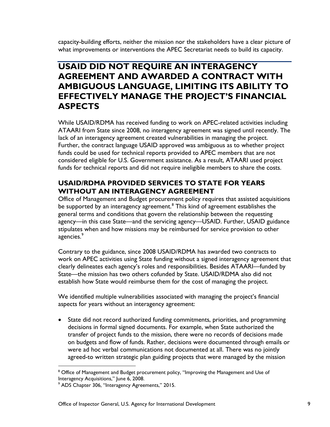capacity-building efforts, neither the mission nor the stakeholders have a clear picture of what improvements or interventions the APEC Secretariat needs to build its capacity.

### <span id="page-12-0"></span>**USAID DID NOT REQUIRE AN INTERAGENCY AGREEMENT AND AWARDED A CONTRACT WITH AMBIGUOUS LANGUAGE, LIMITING ITS ABILITY TO EFFECTIVELY MANAGE THE PROJECT'S FINANCIAL ASPECTS**

While USAID/RDMA has received funding to work on APEC-related activities including ATAARI from State since 2008, no interagency agreement was signed until recently. The lack of an interagency agreement created vulnerabilities in managing the project. Further, the contract language USAID approved was ambiguous as to whether project funds could be used for technical reports provided to APEC members that are not considered eligible for U.S. Government assistance. As a result, ATAARI used project funds for technical reports and did not require ineligible members to share the costs.

#### <span id="page-12-1"></span>**USAID/RDMA PROVIDED SERVICES TO STATE FOR YEARS WITHOUT AN INTERAGENCY AGREEMENT**

Office of Management and Budget procurement policy requires that assisted acquisitions be supported by an interagency agreement.<sup>[8](#page-12-2)</sup> This kind of agreement establishes the general terms and conditions that govern the relationship between the requesting agency—in this case State—and the servicing agency—USAID. Further, USAID guidance stipulates when and how missions may be reimbursed for service provision to other agencies.<sup>[9](#page-12-3)</sup>

Contrary to the guidance, since 2008 USAID/RDMA has awarded two contracts to work on APEC activities using State funding without a signed interagency agreement that clearly delineates each agency's roles and responsibilities. Besides ATAARI—funded by State—the mission has two others cofunded by State. USAID/RDMA also did not establish how State would reimburse them for the cost of managing the project.

We identified multiple vulnerabilities associated with managing the project's financial aspects for years without an interagency agreement:

• State did not record authorized funding commitments, priorities, and programming decisions in formal signed documents. For example, when State authorized the transfer of project funds to the mission, there were no records of decisions made on budgets and flow of funds. Rather, decisions were documented through emails or were ad hoc verbal communications not documented at all. There was no jointly agreed-to written strategic plan guiding projects that were managed by the mission

<span id="page-12-2"></span><sup>&</sup>lt;sup>8</sup> Office of Management and Budget procurement policy, "Improving the Management and Use of Interagency Acquisitions," June 6, 2008.<br><sup>9</sup> ADS Chapter 306, "Interagency Agreements," 2015.

<span id="page-12-3"></span>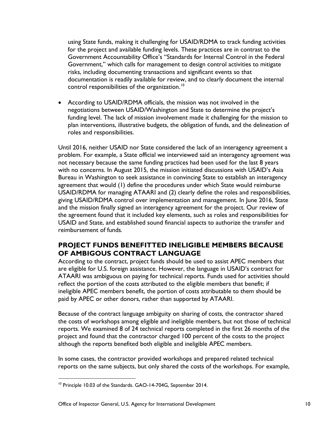using State funds, making it challenging for USAID/RDMA to track funding activities for the project and available funding levels. These practices are in contrast to the Government Accountability Office's "Standards for Internal Control in the Federal Government," which calls for management to design control activities to mitigate risks, including documenting transactions and significant events so that documentation is readily available for review, and to clearly document the internal control responsibilities of the organization.<sup>[10](#page-13-1)</sup>

• According to USAID/RDMA officials, the mission was not involved in the negotiations between USAID/Washington and State to determine the project's funding level. The lack of mission involvement made it challenging for the mission to plan interventions, illustrative budgets, the obligation of funds, and the delineation of roles and responsibilities.

Until 2016, neither USAID nor State considered the lack of an interagency agreement a problem. For example, a State official we interviewed said an interagency agreement was not necessary because the same funding practices had been used for the last 8 years with no concerns. In August 2015, the mission initiated discussions with USAID's Asia Bureau in Washington to seek assistance in convincing State to establish an interagency agreement that would (1) define the procedures under which State would reimburse USAID/RDMA for managing ATAARI and (2) clearly define the roles and responsibilities, giving USAID/RDMA control over implementation and management. In June 2016, State and the mission finally signed an interagency agreement for the project. Our review of the agreement found that it included key elements, such as roles and responsibilities for USAID and State, and established sound financial aspects to authorize the transfer and reimbursement of funds.

#### <span id="page-13-0"></span>**PROJECT FUNDS BENEFITTED INELIGIBLE MEMBERS BECAUSE OF AMBIGOUS CONTRACT LANGUAGE**

According to the contract, project funds should be used to assist APEC members that are eligible for U.S. foreign assistance. However, the language in USAID's contract for ATAARI was ambiguous on paying for technical reports. Funds used for activities should reflect the portion of the costs attributed to the eligible members that benefit; if ineligible APEC members benefit, the portion of costs attributable to them should be paid by APEC or other donors, rather than supported by ATAARI.

Because of the contract language ambiguity on sharing of costs, the contractor shared the costs of workshops among eligible and ineligible members, but not those of technical reports. We examined 8 of 24 technical reports completed in the first 26 months of the project and found that the contractor charged 100 percent of the costs to the project although the reports benefited both eligible and ineligible APEC members.

In some cases, the contractor provided workshops and prepared related technical reports on the same subjects, but only shared the costs of the workshops. For example,

<span id="page-13-1"></span><sup>&</sup>lt;sup>10</sup> Principle 10.03 of the Standards. GAO-14-704G, September 2014.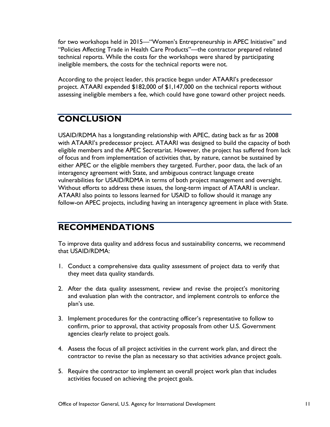for two workshops held in 2015—"Women's Entrepreneurship in APEC Initiative" and "Policies Affecting Trade in Health Care Products"—the contractor prepared related technical reports. While the costs for the workshops were shared by participating ineligible members, the costs for the technical reports were not.

According to the project leader, this practice began under ATAARI's predecessor project. ATAARI expended \$182,000 of \$1,147,000 on the technical reports without assessing ineligible members a fee, which could have gone toward other project needs.

## <span id="page-14-0"></span>**CONCLUSION**

USAID/RDMA has a longstanding relationship with APEC, dating back as far as 2008 with ATAARI's predecessor project. ATAARI was designed to build the capacity of both eligible members and the APEC Secretariat. However, the project has suffered from lack of focus and from implementation of activities that, by nature, cannot be sustained by either APEC or the eligible members they targeted. Further, poor data, the lack of an interagency agreement with State, and ambiguous contract language create vulnerabilities for USAID/RDMA in terms of both project management and oversight. Without efforts to address these issues, the long-term impact of ATAARI is unclear. ATAARI also points to lessons learned for USAID to follow should it manage any follow-on APEC projects, including having an interagency agreement in place with State.

#### <span id="page-14-1"></span>**RECOMMENDATIONS**

To improve data quality and address focus and sustainability concerns, we recommend that USAID/RDMA:

- 1. Conduct a comprehensive data quality assessment of project data to verify that they meet data quality standards.
- 2. After the data quality assessment, review and revise the project's monitoring and evaluation plan with the contractor, and implement controls to enforce the plan's use.
- 3. Implement procedures for the contracting officer's representative to follow to confirm, prior to approval, that activity proposals from other U.S. Government agencies clearly relate to project goals.
- 4. Assess the focus of all project activities in the current work plan, and direct the contractor to revise the plan as necessary so that activities advance project goals.
- 5. Require the contractor to implement an overall project work plan that includes activities focused on achieving the project goals.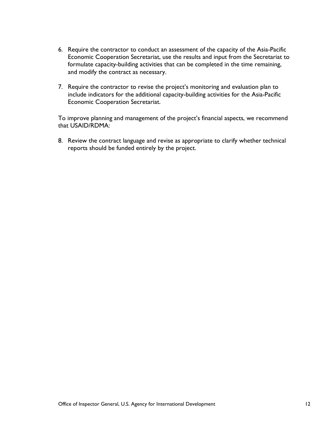- 6. Require the contractor to conduct an assessment of the capacity of the Asia-Pacific Economic Cooperation Secretariat, use the results and input from the Secretariat to formulate capacity-building activities that can be completed in the time remaining, and modify the contract as necessary.
- 7. Require the contractor to revise the project's monitoring and evaluation plan to include indicators for the additional capacity-building activities for the Asia-Pacific Economic Cooperation Secretariat.

To improve planning and management of the project's financial aspects, we recommend that USAID/RDMA:

8. Review the contract language and revise as appropriate to clarify whether technical reports should be funded entirely by the project.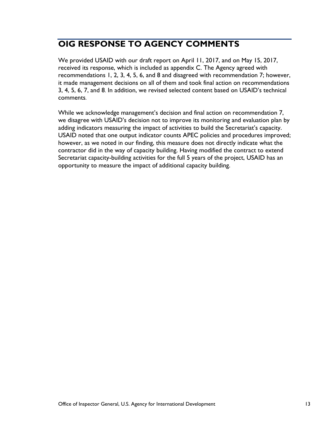# <span id="page-16-0"></span>**OIG RESPONSE TO AGENCY COMMENTS**

We provided USAID with our draft report on April 11, 2017, and on May 15, 2017, received its response, which is included as appendix C. The Agency agreed with recommendations 1, 2, 3, 4, 5, 6, and 8 and disagreed with recommendation 7; however, it made management decisions on all of them and took final action on recommendations 3, 4, 5, 6, 7, and 8. In addition, we revised selected content based on USAID's technical comments.

While we acknowledge management's decision and final action on recommendation 7, we disagree with USAID's decision not to improve its monitoring and evaluation plan by adding indicators measuring the impact of activities to build the Secretariat's capacity. USAID noted that one output indicator counts APEC policies and procedures improved; however, as we noted in our finding, this measure does not directly indicate what the contractor did in the way of capacity building. Having modified the contract to extend Secretariat capacity-building activities for the full 5 years of the project, USAID has an opportunity to measure the impact of additional capacity building.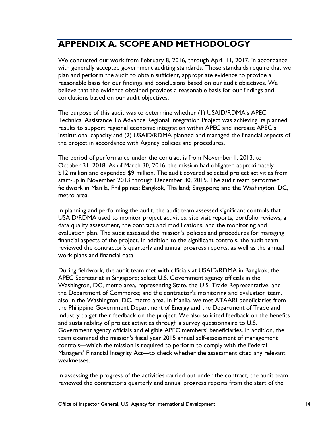# <span id="page-17-0"></span>**APPENDIX A. SCOPE AND METHODOLOGY**

We conducted our work from February 8, 2016, through April 11, 2017, in accordance with generally accepted government auditing standards. Those standards require that we plan and perform the audit to obtain sufficient, appropriate evidence to provide a reasonable basis for our findings and conclusions based on our audit objectives. We believe that the evidence obtained provides a reasonable basis for our findings and conclusions based on our audit objectives.

The purpose of this audit was to determine whether (1) USAID/RDMA's APEC Technical Assistance To Advance Regional Integration Project was achieving its planned results to support regional economic integration within APEC and increase APEC's institutional capacity and (2) USAID/RDMA planned and managed the financial aspects of the project in accordance with Agency policies and procedures.

The period of performance under the contract is from November 1, 2013, to October 31, 2018. As of March 30, 2016, the mission had obligated approximately \$12 million and expended \$9 million. The audit covered selected project activities from start-up in November 2013 through December 30, 2015. The audit team performed fieldwork in Manila, Philippines; Bangkok, Thailand; Singapore; and the Washington, DC, metro area.

In planning and performing the audit, the audit team assessed significant controls that USAID/RDMA used to monitor project activities: site visit reports, portfolio reviews, a data quality assessment, the contract and modifications, and the monitoring and evaluation plan. The audit assessed the mission's policies and procedures for managing financial aspects of the project. In addition to the significant controls, the audit team reviewed the contractor's quarterly and annual progress reports, as well as the annual work plans and financial data.

During fieldwork, the audit team met with officials at USAID/RDMA in Bangkok; the APEC Secretariat in Singapore; select U.S. Government agency officials in the Washington, DC, metro area, representing State, the U.S. Trade Representative, and the Department of Commerce; and the contractor's monitoring and evaluation team, also in the Washington, DC, metro area. In Manila, we met ATAARI beneficiaries from the Philippine Government Department of Energy and the Department of Trade and Industry to get their feedback on the project. We also solicited feedback on the benefits and sustainability of project activities through a survey questionnaire to U.S. Government agency officials and eligible APEC members' beneficiaries. In addition, the team examined the mission's fiscal year 2015 annual self-assessment of management controls—which the mission is required to perform to comply with the Federal Managers' Financial Integrity Act—to check whether the assessment cited any relevant weaknesses.

In assessing the progress of the activities carried out under the contract, the audit team reviewed the contractor's quarterly and annual progress reports from the start of the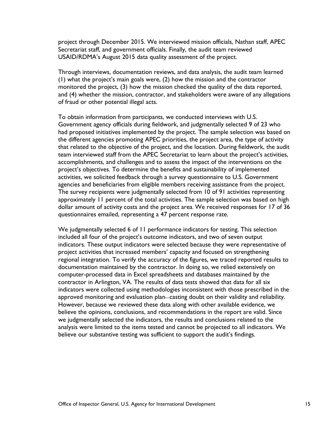project through December 2015. We interviewed mission officials, Nathan staff, APEC Secretariat staff, and government officials. Finally, the audit team reviewed USAID/RDMA's August 2015 data quality assessment of the project.

Through interviews, documentation reviews, and data analysis, the audit team learned (1) what the project's main goals were, (2) how the mission and the contractor monitored the project, (3) how the mission checked the quality of the data reported, and (4) whether the mission, contractor, and stakeholders were aware of any allegations of fraud or other potential illegal acts.

To obtain information from participants, we conducted interviews with U.S. Government agency officials during fieldwork, and judgmentally selected 9 of 23 who had proposed initiatives implemented by the project. The sample selection was based on the different agencies promoting APEC priorities, the project area, the type of activity that related to the objective of the project, and the location. During fieldwork, the audit team interviewed staff from the APEC Secretariat to learn about the project's activities, accomplishments, and challenges and to assess the impact of the interventions on the project's objectives. To determine the benefits and sustainability of implemented activities, we solicited feedback through a survey questionnaire to U.S. Government agencies and beneficiaries from eligible members receiving assistance from the project. The survey recipients were judgmentally selected from 10 of 91 activities representing approximately 11 percent of the total activities. The sample selection was based on high dollar amount of activity costs and the project area. We received responses for 17 of 36 questionnaires emailed, representing a 47 percent response rate.

We judgmentally selected 6 of 11 performance indicators for testing. This selection included all four of the project's outcome indicators, and two of seven output indicators. These output indicators were selected because they were representative of project activities that increased members' capacity and focused on strengthening regional integration. To verify the accuracy of the figures, we traced reported results to documentation maintained by the contractor. In doing so, we relied extensively on computer-processed data in Excel spreadsheets and databases maintained by the contractor in Arlington, VA. The results of data tests showed that data for all six indicators were collected using methodologies inconsistent with those prescribed in the approved monitoring and evaluation plan—casting doubt on their validity and reliability. However, because we reviewed these data along with other available evidence, we believe the opinions, conclusions, and recommendations in the report are valid. Since we judgmentally selected the indicators, the results and conclusions related to the analysis were limited to the items tested and cannot be projected to all indicators. We believe our substantive testing was sufficient to support the audit's findings.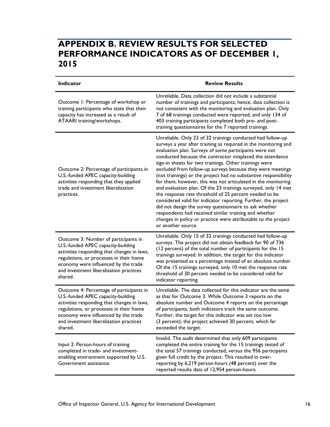### <span id="page-19-0"></span>**APPENDIX B. REVIEW RESULTS FOR SELECTED PERFORMANCE INDICATORS AS OF DECEMBER 1, 2015**

| Indicator                                                                                                                                                                                                                                                              | <b>Review Results</b>                                                                                                                                                                                                                                                                                                                                                                                                                                                                                                                                                                                                                                                                                                                                                                                                                                                                                                       |
|------------------------------------------------------------------------------------------------------------------------------------------------------------------------------------------------------------------------------------------------------------------------|-----------------------------------------------------------------------------------------------------------------------------------------------------------------------------------------------------------------------------------------------------------------------------------------------------------------------------------------------------------------------------------------------------------------------------------------------------------------------------------------------------------------------------------------------------------------------------------------------------------------------------------------------------------------------------------------------------------------------------------------------------------------------------------------------------------------------------------------------------------------------------------------------------------------------------|
| Outcome 1: Percentage of workshop or<br>training participants who state that their<br>capacity has increased as a result of<br>ATAARI training/workshops.                                                                                                              | Unreliable. Data collection did not include a substantial<br>number of trainings and participants; hence, data collection is<br>not consistent with the monitoring and evaluation plan. Only<br>7 of 68 trainings conducted were reported, and only 134 of<br>403 training participants completed both pre- and post-<br>training questionnaires for the 7 reported trainings.                                                                                                                                                                                                                                                                                                                                                                                                                                                                                                                                              |
| Outcome 2: Percentage of participants in<br>U.S.-funded APEC capacity-building<br>activities responding that they applied<br>trade and investment liberalization<br>practices.                                                                                         | Unreliable. Only 23 of 32 trainings conducted had follow-up<br>surveys a year after training as required in the monitoring and<br>evaluation plan. Surveys of some participants were not<br>conducted because the contractor misplaced the attendance<br>sign-in sheets for two trainings. Other trainings were<br>excluded from follow-up surveys because they were meetings<br>(not trainings) or the project had no substantive responsibility<br>for them; however, this was not articulated in the monitoring<br>and evaluation plan. Of the 23 trainings surveyed, only 14 met<br>the response rate threshold of 25 percent needed to be<br>considered valid for indicator reporting. Further, the project<br>did not design the survey questionnaire to ask whether<br>respondents had received similar training and whether<br>changes in policy or practice were attributable to the project<br>or another source. |
| Outcome 3: Number of participants in<br>U.S.-funded APEC capacity-building<br>activities responding that changes in laws,<br>regulations, or processes in their home<br>economy were influenced by the trade<br>and investment liberalization practices<br>shared.     | Unreliable. Only 15 of 32 trainings conducted had follow-up<br>surveys. The project did not obtain feedback for 90 of 736<br>(12 percent) of the total number of participants for the 15<br>trainings surveyed. In addition, the target for this indicator<br>was presented as a percentage instead of an absolute number.<br>Of the 15 trainings surveyed, only 10 met the response rate<br>threshold of 30 percent needed to be considered valid for<br>indicator reporting.                                                                                                                                                                                                                                                                                                                                                                                                                                              |
| Outcome 4: Percentage of participants in<br>U.S.-funded APEC capacity-building<br>activities responding that changes in laws,<br>regulations, or processes in their home<br>economy were influenced by the trade<br>and investment liberalization practices<br>shared. | Unreliable. The data collected for this indicator are the same<br>as that for Outcome 3. While Outcome 3 reports on the<br>absolute number and Outcome 4 reports on the percentage<br>of participants, both indicators track the same outcome.<br>Further, the target for this indicator was set too low<br>(3 percent); the project achieved 30 percent, which far<br>exceeded the target.                                                                                                                                                                                                                                                                                                                                                                                                                                                                                                                                 |
| Input 2: Person-hours of training<br>completed in trade- and investment-<br>enabling environment supported by U.S.<br>Government assistance.                                                                                                                           | Invalid. The audit determined that only 609 participants<br>completed the entire training for the 15 trainings tested of<br>the total 57 trainings conducted, versus the 956 participants<br>given full credit by the project. This resulted in over-<br>reporting by 6,219 person-hours (48 percent) over the<br>reported results data of 12,954 person-hours.                                                                                                                                                                                                                                                                                                                                                                                                                                                                                                                                                             |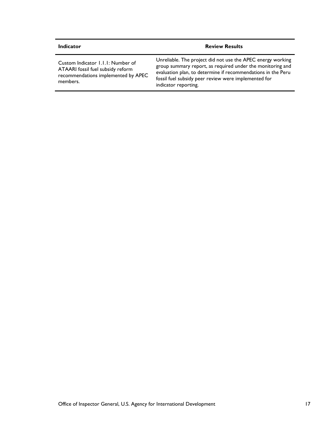| <b>Indicator</b>                                                                                                          | <b>Review Results</b>                                                                                                                                                                                                                                                     |
|---------------------------------------------------------------------------------------------------------------------------|---------------------------------------------------------------------------------------------------------------------------------------------------------------------------------------------------------------------------------------------------------------------------|
| Custom Indicator 1.1.1: Number of<br>ATAARI fossil fuel subsidy reform<br>recommendations implemented by APEC<br>members. | Unreliable. The project did not use the APEC energy working<br>group summary report, as required under the monitoring and<br>evaluation plan, to determine if recommendations in the Peru<br>fossil fuel subsidy peer review were implemented for<br>indicator reporting. |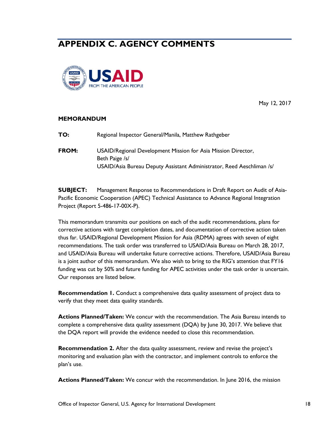## <span id="page-21-0"></span>**APPENDIX C. AGENCY COMMENTS**



May 12, 2017

#### **MEMORANDUM**

| TO:   | Regional Inspector General/Manila, Matthew Rathgeber                                                                                                     |
|-------|----------------------------------------------------------------------------------------------------------------------------------------------------------|
| FROM: | USAID/Regional Development Mission for Asia Mission Director,<br>Beth Paige /s/<br>USAID/Asia Bureau Deputy Assistant Administrator, Reed Aeschliman /s/ |

**SUBJECT:** Management Response to Recommendations in Draft Report on Audit of Asia-Pacific Economic Cooperation (APEC) Technical Assistance to Advance Regional Integration Project (Report 5-486-17-00X-P).

This memorandum transmits our positions on each of the audit recommendations, plans for corrective actions with target completion dates, and documentation of corrective action taken thus far. USAID/Regional Development Mission for Asia (RDMA) agrees with seven of eight recommendations. The task order was transferred to USAID/Asia Bureau on March 28, 2017, and USAID/Asia Bureau will undertake future corrective actions. Therefore, USAID/Asia Bureau is a joint author of this memorandum. We also wish to bring to the RIG's attention that FY16 funding was cut by 50% and future funding for APEC activities under the task order is uncertain. Our responses are listed below.

**Recommendation 1.** Conduct a comprehensive data quality assessment of project data to verify that they meet data quality standards.

**Actions Planned/Taken:** We concur with the recommendation. The Asia Bureau intends to complete a comprehensive data quality assessment (DQA) by June 30, 2017. We believe that the DQA report will provide the evidence needed to close this recommendation.

**Recommendation 2.** After the data quality assessment, review and revise the project's monitoring and evaluation plan with the contractor, and implement controls to enforce the plan's use.

**Actions Planned/Taken:** We concur with the recommendation. In June 2016, the mission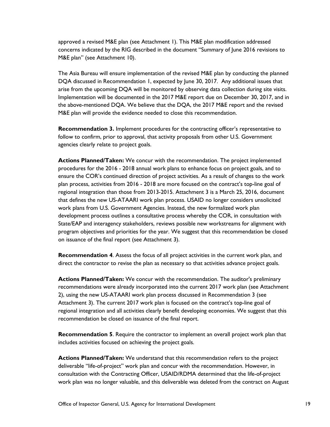approved a revised M&E plan (see Attachment 1). This M&E plan modification addressed concerns indicated by the RIG described in the document "Summary of June 2016 revisions to M&E plan" (see Attachment 10).

The Asia Bureau will ensure implementation of the revised M&E plan by conducting the planned DQA discussed in Recommendation 1, expected by June 30, 2017. Any additional issues that arise from the upcoming DQA will be monitored by observing data collection during site visits. Implementation will be documented in the 2017 M&E report due on December 30, 2017, and in the above-mentioned DQA. We believe that the DQA, the 2017 M&E report and the revised M&E plan will provide the evidence needed to close this recommendation.

**Recommendation 3.** Implement procedures for the contracting officer's representative to follow to confirm, prior to approval, that activity proposals from other U.S. Government agencies clearly relate to project goals.

**Actions Planned/Taken:** We concur with the recommendation. The project implemented procedures for the 2016 - 2018 annual work plans to enhance focus on project goals, and to ensure the COR's continued direction of project activities. As a result of changes to the work plan process, activities from 2016 - 2018 are more focused on the contract's top-line goal of regional integration than those from 2013-2015. Attachment 3 is a March 25, 2016, document that defines the new US-ATAARI work plan process. USAID no longer considers unsolicited work plans from U.S. Government Agencies. Instead, the new formalized work plan development process outlines a consultative process whereby the COR, in consultation with State/EAP and interagency stakeholders, reviews possible new workstreams for alignment with program objectives and priorities for the year. We suggest that this recommendation be closed on issuance of the final report (see Attachment 3).

**Recommendation 4**. Assess the focus of all project activities in the current work plan, and direct the contractor to revise the plan as necessary so that activities advance project goals.

**Actions Planned/Taken:** We concur with the recommendation. The auditor's preliminary recommendations were already incorporated into the current 2017 work plan (see Attachment 2), using the new US-ATAARI work plan process discussed in Recommendation 3 (see Attachment 3). The current 2017 work plan is focused on the contract's top-line goal of regional integration and all activities clearly benefit developing economies. We suggest that this recommendation be closed on issuance of the final report.

**Recommendation 5**. Require the contractor to implement an overall project work plan that includes activities focused on achieving the project goals.

**Actions Planned/Taken:** We understand that this recommendation refers to the project deliverable "life-of-project" work plan and concur with the recommendation. However, in consultation with the Contracting Officer, USAID/RDMA determined that the life-of-project work plan was no longer valuable, and this deliverable was deleted from the contract on August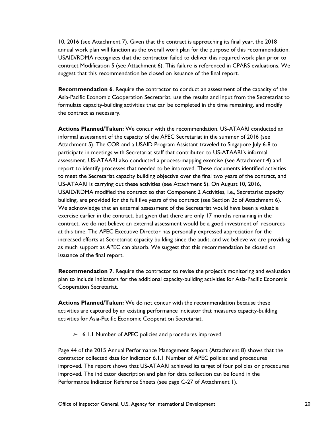10, 2016 (see Attachment 7). Given that the contract is approaching its final year, the 2018 annual work plan will function as the overall work plan for the purpose of this recommendation. USAID/RDMA recognizes that the contractor failed to deliver this required work plan prior to contract Modification 5 (see Attachment 6). This failure is referenced in CPARS evaluations. We suggest that this recommendation be closed on issuance of the final report.

**Recommendation 6.** Require the contractor to conduct an assessment of the capacity of the Asia-Pacific Economic Cooperation Secretariat, use the results and input from the Secretariat to formulate capacity-building activities that can be completed in the time remaining, and modify the contract as necessary.

**Actions Planned/Taken:** We concur with the recommendation. US-ATAARI conducted an informal assessment of the capacity of the APEC Secretariat in the summer of 2016 (see Attachment 5). The COR and a USAID Program Assistant traveled to Singapore July 6-8 to participate in meetings with Secretariat staff that contributed to US-ATAARI's informal assessment. US-ATAARI also conducted a process-mapping exercise (see Attachment 4) and report to identify processes that needed to be improved. These documents identified activities to meet the Secretariat capacity building objective over the final two years of the contract, and US-ATAARI is carrying out these activities (see Attachment 5). On August 10, 2016, USAID/RDMA modified the contract so that Component 2 Activities, i.e., Secretariat capacity building, are provided for the full five years of the contract (see Section 2c of Attachment 6). We acknowledge that an external assessment of the Secretariat would have been a valuable exercise earlier in the contract, but given that there are only 17 months remaining in the contract, we do not believe an external assessment would be a good investment of resources at this time. The APEC Executive Director has personally expressed appreciation for the increased efforts at Secretariat capacity building since the audit, and we believe we are providing as much support as APEC can absorb. We suggest that this recommendation be closed on issuance of the final report.

**Recommendation 7**. Require the contractor to revise the project's monitoring and evaluation plan to include indicators for the additional capacity-building activities for Asia-Pacific Economic Cooperation Secretariat.

**Actions Planned/Taken:** We do not concur with the recommendation because these activities are captured by an existing performance indicator that measures capacity-building activities for Asia-Pacific Economic Cooperation Secretariat.

 $> 6.1.1$  Number of APEC policies and procedures improved

Page 44 of the 2015 Annual Performance Management Report (Attachment 8) shows that the contractor collected data for Indicator 6.1.1 Number of APEC policies and procedures improved. The report shows that US-ATAARI achieved its target of four policies or procedures improved. The indicator description and plan for data collection can be found in the Performance Indicator Reference Sheets (see page C-27 of Attachment 1).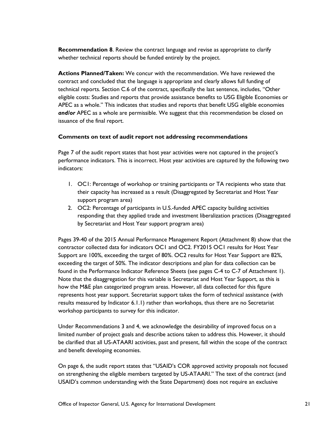**Recommendation 8**. Review the contract language and revise as appropriate to clarify whether technical reports should be funded entirely by the project.

**Actions Planned/Taken:** We concur with the recommendation. We have reviewed the contract and concluded that the language is appropriate and clearly allows full funding of technical reports. Section C.6 of the contract, specifically the last sentence, includes, "Other eligible costs: Studies and reports that provide assistance benefits to USG Eligible Economies or APEC as a whole." This indicates that studies and reports that benefit USG eligible economies *and/or* APEC as a whole are permissible. We suggest that this recommendation be closed on issuance of the final report.

#### **Comments on text of audit report not addressing recommendations**

Page 7 of the audit report states that host year activities were not captured in the project's performance indicators. This is incorrect. Host year activities are captured by the following two indicators:

- 1. OC1: Percentage of workshop or training participants or TA recipients who state that their capacity has increased as a result (Disaggregated by Secretariat and Host Year support program area)
- 2. OC2: Percentage of participants in U.S.-funded APEC capacity building activities responding that they applied trade and investment liberalization practices (Disaggregated by Secretariat and Host Year support program area)

Pages 39-40 of the 2015 Annual Performance Management Report (Attachment 8) show that the contractor collected data for indicators OC1 and OC2. FY2015 OC1 results for Host Year Support are 100%, exceeding the target of 80%. OC2 results for Host Year Support are 82%, exceeding the target of 50%. The indicator descriptions and plan for data collection can be found in the Performance Indicator Reference Sheets (see pages C-4 to C-7 of Attachment 1). Note that the disaggregation for this variable is Secretariat and Host Year Support, as this is how the M&E plan categorized program areas. However, all data collected for this figure represents host year support. Secretariat support takes the form of technical assistance (with results measured by Indicator 6.1.1) rather than workshops, thus there are no Secretariat workshop participants to survey for this indicator.

Under Recommendations 3 and 4, we acknowledge the desirability of improved focus on a limited number of project goals and describe actions taken to address this. However, it should be clarified that all US-ATAARI activities, past and present, fall within the scope of the contract and benefit developing economies.

On page 6, the audit report states that "USAID's COR approved activity proposals not focused on strengthening the eligible members targeted by US-ATAARI." The text of the contract (and USAID's common understanding with the State Department) does not require an exclusive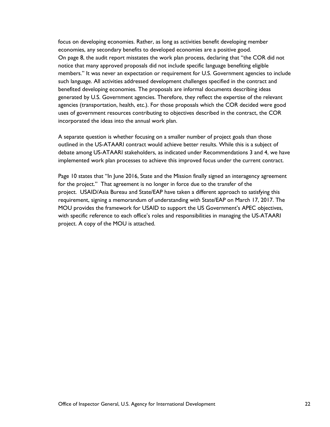focus on developing economies. Rather, as long as activities benefit developing member economies, any secondary benefits to developed economies are a positive good. On page 8, the audit report misstates the work plan process, declaring that "the COR did not notice that many approved proposals did not include specific language benefiting eligible members." It was never an expectation or requirement for U.S. Government agencies to include such language. All activities addressed development challenges specified in the contract and benefited developing economies. The proposals are informal documents describing ideas generated by U.S. Government agencies. Therefore, they reflect the expertise of the relevant agencies (transportation, health, etc.). For those proposals which the COR decided were good uses of government resources contributing to objectives described in the contract, the COR incorporated the ideas into the annual work plan.

A separate question is whether focusing on a smaller number of project goals than those outlined in the US-ATAARI contract would achieve better results. While this is a subject of debate among US-ATAARI stakeholders, as indicated under Recommendations 3 and 4, we have implemented work plan processes to achieve this improved focus under the current contract.

Page 10 states that "In June 2016, State and the Mission finally signed an interagency agreement for the project." That agreement is no longer in force due to the transfer of the project. USAID/Asia Bureau and State/EAP have taken a different approach to satisfying this requirement, signing a memorandum of understanding with State/EAP on March 17, 2017. The MOU provides the framework for USAID to support the US Government's APEC objectives, with specific reference to each office's roles and responsibilities in managing the US-ATAARI project. A copy of the MOU is attached.